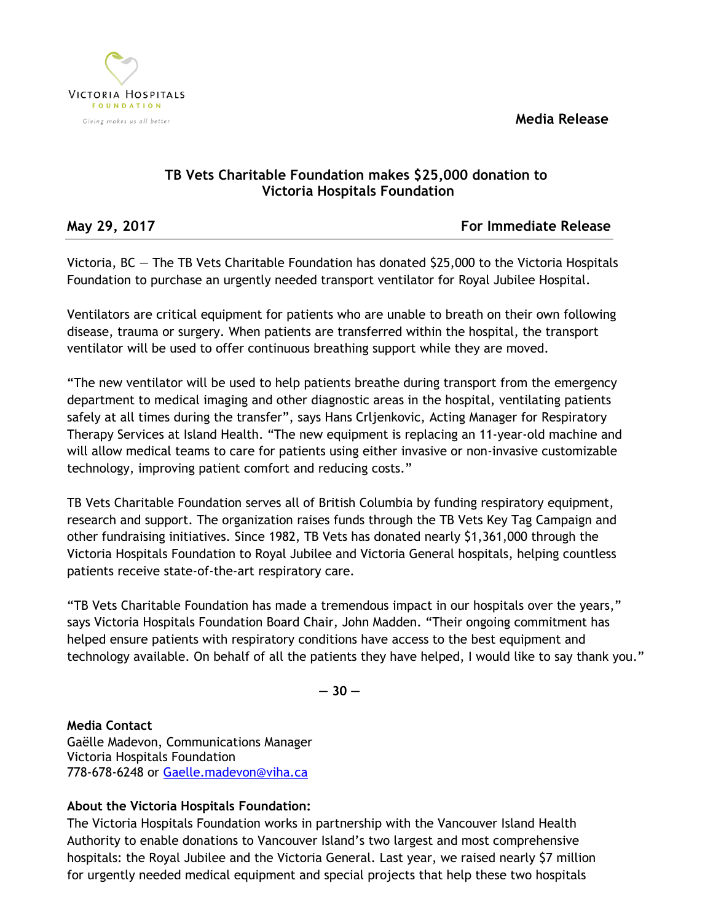**Media Release**



## **TB Vets Charitable Foundation makes \$25,000 donation to Victoria Hospitals Foundation**

**May 29, 2017 For Immediate Release**

Victoria, BC — The TB Vets Charitable Foundation has donated \$25,000 to the Victoria Hospitals Foundation to purchase an urgently needed transport ventilator for Royal Jubilee Hospital.

Ventilators are critical equipment for patients who are unable to breath on their own following disease, trauma or surgery. When patients are transferred within the hospital, the transport ventilator will be used to offer continuous breathing support while they are moved.

"The new ventilator will be used to help patients breathe during transport from the emergency department to medical imaging and other diagnostic areas in the hospital, ventilating patients safely at all times during the transfer", says Hans Crljenkovic, Acting Manager for Respiratory Therapy Services at Island Health. "The new equipment is replacing an 11-year-old machine and will allow medical teams to care for patients using either invasive or non-invasive customizable technology, improving patient comfort and reducing costs."

TB Vets Charitable Foundation serves all of British Columbia by funding respiratory equipment, research and support. The organization raises funds through the TB Vets Key Tag Campaign and other fundraising initiatives. Since 1982, TB Vets has donated nearly \$1,361,000 through the Victoria Hospitals Foundation to Royal Jubilee and Victoria General hospitals, helping countless patients receive state-of-the-art respiratory care.

"TB Vets Charitable Foundation has made a tremendous impact in our hospitals over the years," says Victoria Hospitals Foundation Board Chair, John Madden. "Their ongoing commitment has helped ensure patients with respiratory conditions have access to the best equipment and technology available. On behalf of all the patients they have helped, I would like to say thank you."

**― 30 ―**

**Media Contact** Gaëlle Madevon, Communications Manager Victoria Hospitals Foundation 778-678-6248 or [Gaelle.madevon@viha.ca](mailto:Gaelle.madevon@viha.ca)

## **About the Victoria Hospitals Foundation:**

The Victoria Hospitals Foundation works in partnership with the Vancouver Island Health Authority to enable donations to Vancouver Island's two largest and most comprehensive hospitals: the Royal Jubilee and the Victoria General. Last year, we raised nearly \$7 million for urgently needed medical equipment and special projects that help these two hospitals